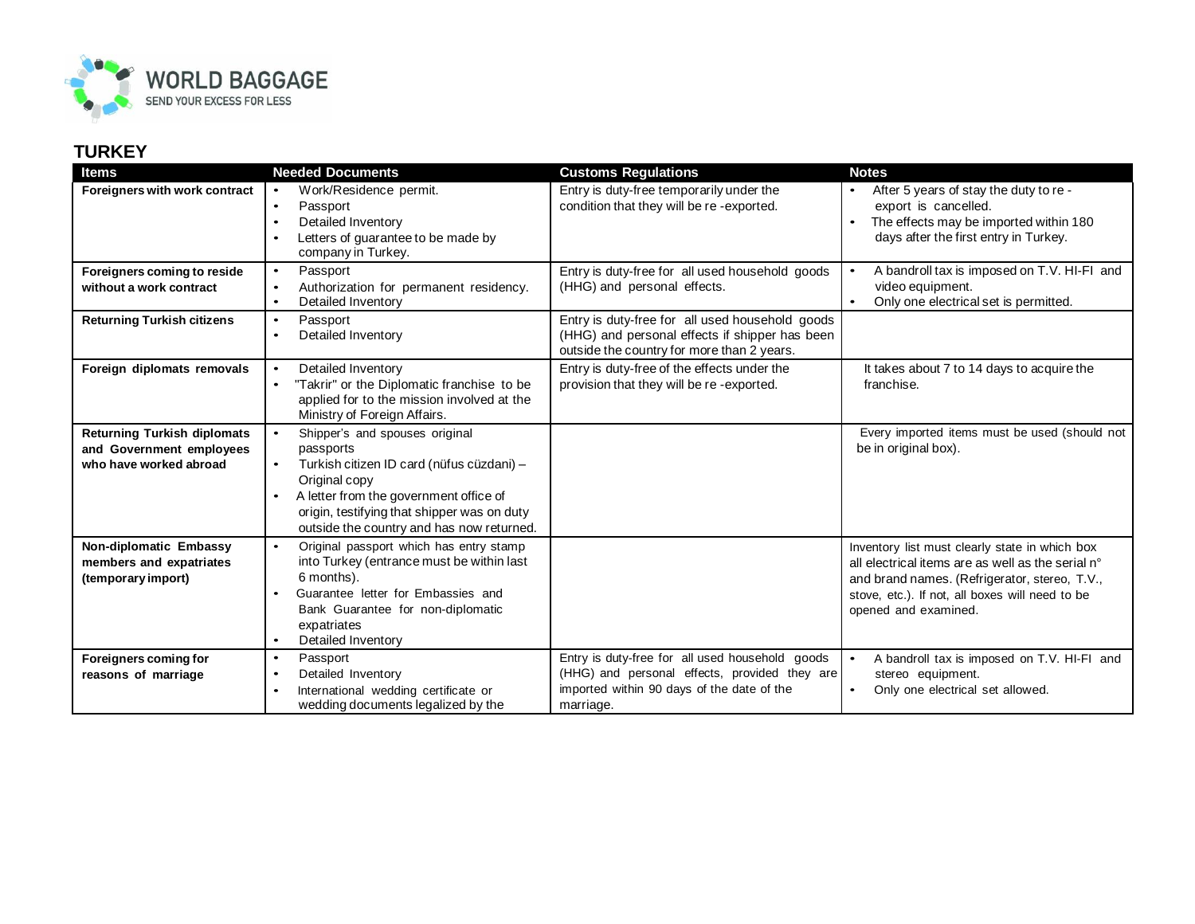

## **TURKEY**

| <b>Items</b>                                                                             | <b>Needed Documents</b>                                                                                                                                                                                                                                                   | <b>Customs Regulations</b>                                                                                                                                  | <b>Notes</b>                                                                                                                                                                                                                    |
|------------------------------------------------------------------------------------------|---------------------------------------------------------------------------------------------------------------------------------------------------------------------------------------------------------------------------------------------------------------------------|-------------------------------------------------------------------------------------------------------------------------------------------------------------|---------------------------------------------------------------------------------------------------------------------------------------------------------------------------------------------------------------------------------|
| Foreigners with work contract                                                            | Work/Residence permit.<br>$\bullet$<br>Passport<br>$\bullet$<br>Detailed Inventory<br>$\bullet$<br>Letters of guarantee to be made by<br>$\bullet$<br>company in Turkey.                                                                                                  | Entry is duty-free temporarily under the<br>condition that they will be re-exported.                                                                        | After 5 years of stay the duty to re -<br>export is cancelled.<br>The effects may be imported within 180<br>days after the first entry in Turkey.                                                                               |
| Foreigners coming to reside<br>without a work contract                                   | Passport<br>$\bullet$<br>Authorization for permanent residency.<br>$\bullet$<br>Detailed Inventory<br>$\bullet$                                                                                                                                                           | Entry is duty-free for all used household goods<br>(HHG) and personal effects.                                                                              | A bandroll tax is imposed on T.V. HI-FI and<br>video equipment.<br>Only one electrical set is permitted.                                                                                                                        |
| <b>Returning Turkish citizens</b>                                                        | Passport<br>$\bullet$<br>Detailed Inventory<br>$\bullet$                                                                                                                                                                                                                  | Entry is duty-free for all used household goods<br>(HHG) and personal effects if shipper has been<br>outside the country for more than 2 years.             |                                                                                                                                                                                                                                 |
| Foreign diplomats removals                                                               | Detailed Inventory<br>$\bullet$<br>"Takrir" or the Diplomatic franchise to be<br>applied for to the mission involved at the<br>Ministry of Foreign Affairs.                                                                                                               | Entry is duty-free of the effects under the<br>provision that they will be re-exported.                                                                     | It takes about 7 to 14 days to acquire the<br>franchise.                                                                                                                                                                        |
| <b>Returning Turkish diplomats</b><br>and Government employees<br>who have worked abroad | Shipper's and spouses original<br>$\bullet$<br>passports<br>Turkish citizen ID card (nüfus cüzdani) -<br>$\bullet$<br>Original copy<br>A letter from the government office of<br>origin, testifying that shipper was on duty<br>outside the country and has now returned. |                                                                                                                                                             | Every imported items must be used (should not<br>be in original box).                                                                                                                                                           |
| Non-diplomatic Embassy<br>members and expatriates<br>(temporary import)                  | Original passport which has entry stamp<br>$\bullet$<br>into Turkey (entrance must be within last<br>6 months).<br>Guarantee letter for Embassies and<br>Bank Guarantee for non-diplomatic<br>expatriates<br>Detailed Inventory<br>$\bullet$                              |                                                                                                                                                             | Inventory list must clearly state in which box<br>all electrical items are as well as the serial n°<br>and brand names. (Refrigerator, stereo, T.V.,<br>stove, etc.). If not, all boxes will need to be<br>opened and examined. |
| Foreigners coming for<br>reasons of marriage                                             | Passport<br>$\bullet$<br>Detailed Inventory<br>$\bullet$<br>International wedding certificate or<br>$\bullet$<br>wedding documents legalized by the                                                                                                                       | Entry is duty-free for all used household goods<br>(HHG) and personal effects, provided they are<br>imported within 90 days of the date of the<br>marriage. | A bandroll tax is imposed on T.V. HI-FI and<br>stereo equipment.<br>Only one electrical set allowed.                                                                                                                            |